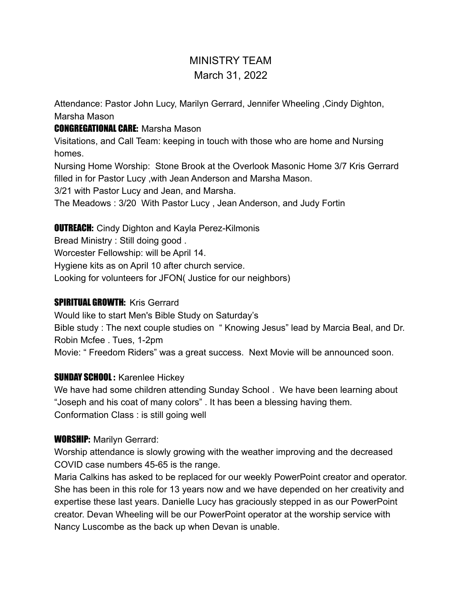# MINISTRY TEAM March 31, 2022

Attendance: Pastor John Lucy, Marilyn Gerrard, Jennifer Wheeling ,Cindy Dighton, Marsha Mason

#### CONGREGATIONAL CARE: Marsha Mason

Visitations, and Call Team: keeping in touch with those who are home and Nursing homes.

Nursing Home Worship: Stone Brook at the Overlook Masonic Home 3/7 Kris Gerrard filled in for Pastor Lucy ,with Jean Anderson and Marsha Mason.

3/21 with Pastor Lucy and Jean, and Marsha.

The Meadows : 3/20 With Pastor Lucy , Jean Anderson, and Judy Fortin

#### **OUTREACH:** Cindy Dighton and Kayla Perez-Kilmonis

Bread Ministry : Still doing good .

Worcester Fellowship: will be April 14.

Hygiene kits as on April 10 after church service.

Looking for volunteers for JFON( Justice for our neighbors)

### SPIRITUAL GROWTH: Kris Gerrard

Would like to start Men's Bible Study on Saturday's Bible study : The next couple studies on " Knowing Jesus" lead by Marcia Beal, and Dr. Robin Mcfee . Tues, 1-2pm Movie: " Freedom Riders" was a great success. Next Movie will be announced soon.

## **SUNDAY SCHOOL: Karenlee Hickey**

We have had some children attending Sunday School . We have been learning about "Joseph and his coat of many colors" . It has been a blessing having them. Conformation Class : is still going well

#### WORSHIP: Marilyn Gerrard:

Worship attendance is slowly growing with the weather improving and the decreased COVID case numbers 45-65 is the range.

Maria Calkins has asked to be replaced for our weekly PowerPoint creator and operator. She has been in this role for 13 years now and we have depended on her creativity and expertise these last years. Danielle Lucy has graciously stepped in as our PowerPoint creator. Devan Wheeling will be our PowerPoint operator at the worship service with Nancy Luscombe as the back up when Devan is unable.